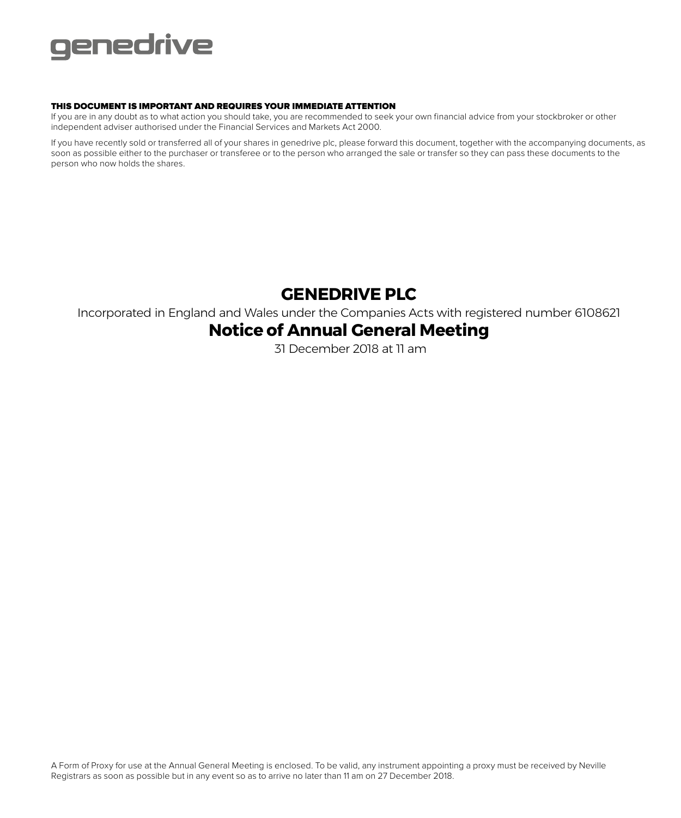

# THIS DOCUMENT IS IMPORTANT AND REQUIRES YOUR IMMEDIATE ATTENTION

If you are in any doubt as to what action you should take, you are recommended to seek your own financial advice from your stockbroker or other independent adviser authorised under the Financial Services and Markets Act 2000.

If you have recently sold or transferred all of your shares in genedrive plc, please forward this document, together with the accompanying documents, as soon as possible either to the purchaser or transferee or to the person who arranged the sale or transfer so they can pass these documents to the person who now holds the shares.

# **GENEDRIVE PLC**

Incorporated in England and Wales under the Companies Acts with registered number 6108621

# **Notice of Annual General Meeting**

31 December 2018 at 11 am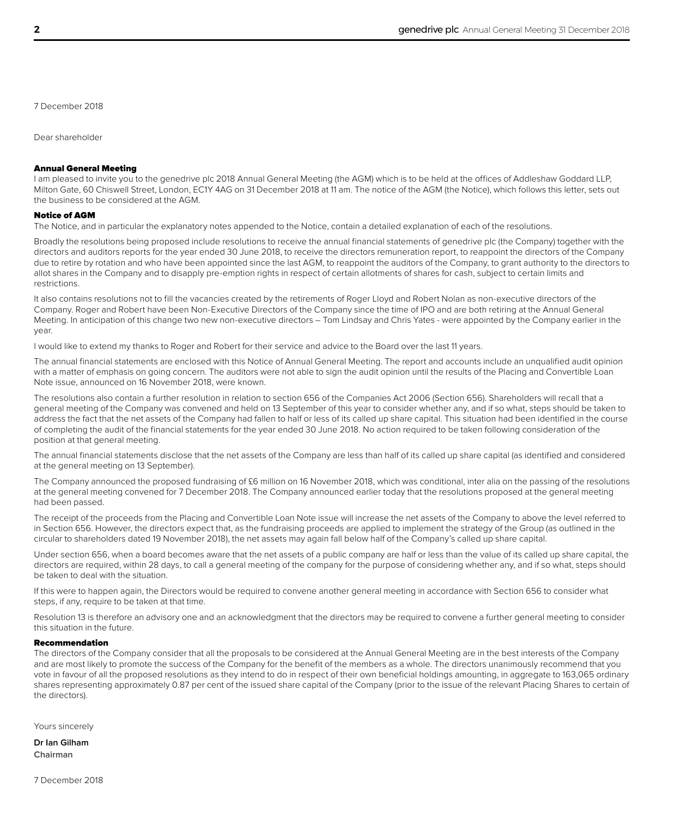7 December 2018

Dear shareholder

# Annual General Meeting

I am pleased to invite you to the genedrive plc 2018 Annual General Meeting (the AGM) which is to be held at the offices of Addleshaw Goddard LLP, Milton Gate, 60 Chiswell Street, London, EC1Y 4AG on 31 December 2018 at 11 am. The notice of the AGM (the Notice), which follows this letter, sets out the business to be considered at the AGM.

### Notice of AGM

The Notice, and in particular the explanatory notes appended to the Notice, contain a detailed explanation of each of the resolutions.

Broadly the resolutions being proposed include resolutions to receive the annual financial statements of genedrive plc (the Company) together with the directors and auditors reports for the year ended 30 June 2018, to receive the directors remuneration report, to reappoint the directors of the Company due to retire by rotation and who have been appointed since the last AGM, to reappoint the auditors of the Company, to grant authority to the directors to allot shares in the Company and to disapply pre-emption rights in respect of certain allotments of shares for cash, subject to certain limits and restrictions.

It also contains resolutions not to fill the vacancies created by the retirements of Roger Lloyd and Robert Nolan as non-executive directors of the Company. Roger and Robert have been Non-Executive Directors of the Company since the time of IPO and are both retiring at the Annual General Meeting. In anticipation of this change two new non-executive directors – Tom Lindsay and Chris Yates - were appointed by the Company earlier in the year.

I would like to extend my thanks to Roger and Robert for their service and advice to the Board over the last 11 years.

The annual financial statements are enclosed with this Notice of Annual General Meeting. The report and accounts include an unqualified audit opinion with a matter of emphasis on going concern. The auditors were not able to sign the audit opinion until the results of the Placing and Convertible Loan Note issue, announced on 16 November 2018, were known.

The resolutions also contain a further resolution in relation to section 656 of the Companies Act 2006 (Section 656). Shareholders will recall that a general meeting of the Company was convened and held on 13 September of this year to consider whether any, and if so what, steps should be taken to address the fact that the net assets of the Company had fallen to half or less of its called up share capital. This situation had been identified in the course of completing the audit of the financial statements for the year ended 30 June 2018. No action required to be taken following consideration of the position at that general meeting.

The annual financial statements disclose that the net assets of the Company are less than half of its called up share capital (as identified and considered at the general meeting on 13 September).

The Company announced the proposed fundraising of £6 million on 16 November 2018, which was conditional, inter alia on the passing of the resolutions at the general meeting convened for 7 December 2018. The Company announced earlier today that the resolutions proposed at the general meeting had been passed.

The receipt of the proceeds from the Placing and Convertible Loan Note issue will increase the net assets of the Company to above the level referred to in Section 656. However, the directors expect that, as the fundraising proceeds are applied to implement the strategy of the Group (as outlined in the circular to shareholders dated 19 November 2018), the net assets may again fall below half of the Company's called up share capital.

Under section 656, when a board becomes aware that the net assets of a public company are half or less than the value of its called up share capital, the directors are required, within 28 days, to call a general meeting of the company for the purpose of considering whether any, and if so what, steps should be taken to deal with the situation.

If this were to happen again, the Directors would be required to convene another general meeting in accordance with Section 656 to consider what steps, if any, require to be taken at that time.

Resolution 13 is therefore an advisory one and an acknowledgment that the directors may be required to convene a further general meeting to consider this situation in the future.

# Recommendation

The directors of the Company consider that all the proposals to be considered at the Annual General Meeting are in the best interests of the Company and are most likely to promote the success of the Company for the benefit of the members as a whole. The directors unanimously recommend that you vote in favour of all the proposed resolutions as they intend to do in respect of their own beneficial holdings amounting, in aggregate to 163,065 ordinary shares representing approximately 0.87 per cent of the issued share capital of the Company (prior to the issue of the relevant Placing Shares to certain of the directors).

Yours sincerely

**Dr Ian Gilham Chairman**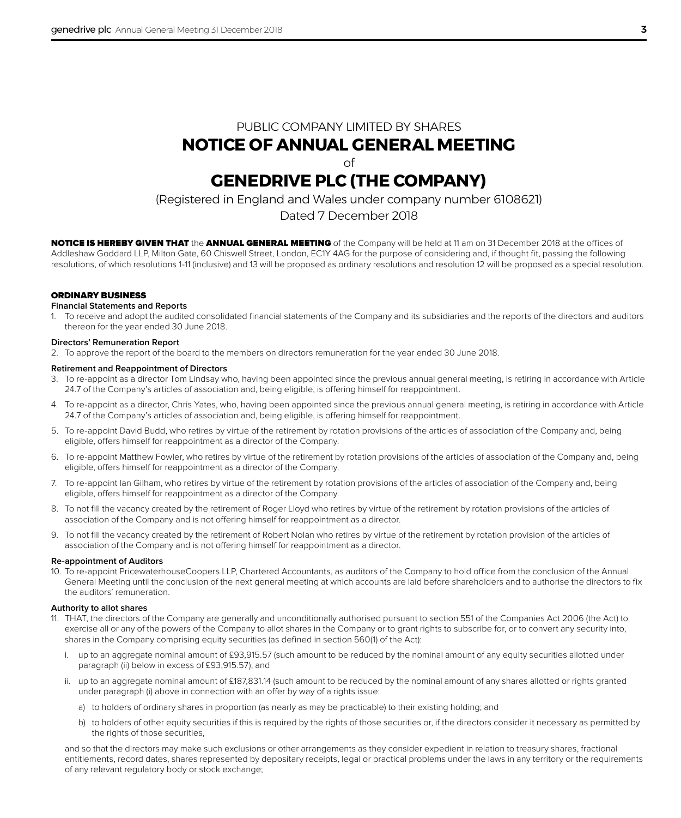# PUBLIC COMPANY LIMITED BY SHARES **NOTICE OF ANNUAL GENERAL MEETING**

of

# **GENEDRIVE PLC (THE COMPANY)**

(Registered in England and Wales under company number 6108621)

# Dated 7 December 2018

NOTICE IS HEREBY GIVEN THAT the ANNUAL GENERAL MEETING of the Company will be held at 11 am on 31 December 2018 at the offices of Addleshaw Goddard LLP, Milton Gate, 60 Chiswell Street, London, EC1Y 4AG for the purpose of considering and, if thought fit, passing the following resolutions, of which resolutions 1-11 (inclusive) and 13 will be proposed as ordinary resolutions and resolution 12 will be proposed as a special resolution.

# ORDINARY BUSINESS

# **Financial Statements and Reports**

1. To receive and adopt the audited consolidated financial statements of the Company and its subsidiaries and the reports of the directors and auditors thereon for the year ended 30 June 2018.

# **Directors' Remuneration Report**

2. To approve the report of the board to the members on directors remuneration for the year ended 30 June 2018.

# **Retirement and Reappointment of Directors**

- 3. To re-appoint as a director Tom Lindsay who, having been appointed since the previous annual general meeting, is retiring in accordance with Article 24.7 of the Company's articles of association and, being eligible, is offering himself for reappointment.
- 4. To re-appoint as a director, Chris Yates, who, having been appointed since the previous annual general meeting, is retiring in accordance with Article 24.7 of the Company's articles of association and, being eligible, is offering himself for reappointment.
- 5. To re-appoint David Budd, who retires by virtue of the retirement by rotation provisions of the articles of association of the Company and, being eligible, offers himself for reappointment as a director of the Company.
- 6. To re-appoint Matthew Fowler, who retires by virtue of the retirement by rotation provisions of the articles of association of the Company and, being eligible, offers himself for reappointment as a director of the Company.
- 7. To re-appoint Ian Gilham, who retires by virtue of the retirement by rotation provisions of the articles of association of the Company and, being eligible, offers himself for reappointment as a director of the Company.
- 8. To not fill the vacancy created by the retirement of Roger Lloyd who retires by virtue of the retirement by rotation provisions of the articles of association of the Company and is not offering himself for reappointment as a director.
- 9. To not fill the vacancy created by the retirement of Robert Nolan who retires by virtue of the retirement by rotation provision of the articles of association of the Company and is not offering himself for reappointment as a director.

# **Re-appointment of Auditors**

10. To re-appoint PricewaterhouseCoopers LLP, Chartered Accountants, as auditors of the Company to hold office from the conclusion of the Annual General Meeting until the conclusion of the next general meeting at which accounts are laid before shareholders and to authorise the directors to fix the auditors' remuneration.

# **Authority to allot shares**

- 11. THAT, the directors of the Company are generally and unconditionally authorised pursuant to section 551 of the Companies Act 2006 (the Act) to exercise all or any of the powers of the Company to allot shares in the Company or to grant rights to subscribe for, or to convert any security into, shares in the Company comprising equity securities (as defined in section 560(1) of the Act):
	- i. up to an aggregate nominal amount of £93,915.57 (such amount to be reduced by the nominal amount of any equity securities allotted under paragraph (ii) below in excess of £93,915.57); and
	- ii. up to an aggregate nominal amount of £187,831.14 (such amount to be reduced by the nominal amount of any shares allotted or rights granted under paragraph (i) above in connection with an offer by way of a rights issue:
		- a) to holders of ordinary shares in proportion (as nearly as may be practicable) to their existing holding; and
		- b) to holders of other equity securities if this is required by the rights of those securities or, if the directors consider it necessary as permitted by the rights of those securities.

and so that the directors may make such exclusions or other arrangements as they consider expedient in relation to treasury shares, fractional entitlements, record dates, shares represented by depositary receipts, legal or practical problems under the laws in any territory or the requirements of any relevant regulatory body or stock exchange;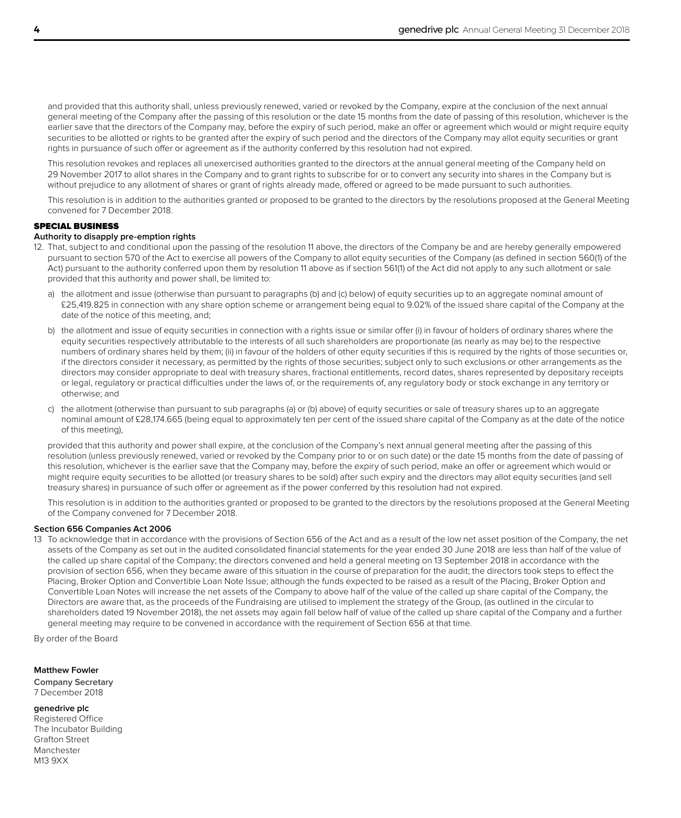and provided that this authority shall, unless previously renewed, varied or revoked by the Company, expire at the conclusion of the next annual general meeting of the Company after the passing of this resolution or the date 15 months from the date of passing of this resolution, whichever is the earlier save that the directors of the Company may, before the expiry of such period, make an offer or agreement which would or might require equity securities to be allotted or rights to be granted after the expiry of such period and the directors of the Company may allot equity securities or grant rights in pursuance of such offer or agreement as if the authority conferred by this resolution had not expired.

This resolution revokes and replaces all unexercised authorities granted to the directors at the annual general meeting of the Company held on 29 November 2017 to allot shares in the Company and to grant rights to subscribe for or to convert any security into shares in the Company but is without prejudice to any allotment of shares or grant of rights already made, offered or agreed to be made pursuant to such authorities.

This resolution is in addition to the authorities granted or proposed to be granted to the directors by the resolutions proposed at the General Meeting convened for 7 December 2018.

# SPECIAL BUSINESS

# **Authority to disapply pre-emption rights**

- 12. That, subject to and conditional upon the passing of the resolution 11 above, the directors of the Company be and are hereby generally empowered pursuant to section 570 of the Act to exercise all powers of the Company to allot equity securities of the Company (as defined in section 560(1) of the Act) pursuant to the authority conferred upon them by resolution 11 above as if section 561(1) of the Act did not apply to any such allotment or sale provided that this authority and power shall, be limited to:
	- a) the allotment and issue (otherwise than pursuant to paragraphs (b) and (c) below) of equity securities up to an aggregate nominal amount of £25,419.825 in connection with any share option scheme or arrangement being equal to 9.02% of the issued share capital of the Company at the date of the notice of this meeting, and;
	- b) the allotment and issue of equity securities in connection with a rights issue or similar offer (i) in favour of holders of ordinary shares where the equity securities respectively attributable to the interests of all such shareholders are proportionate (as nearly as may be) to the respective numbers of ordinary shares held by them; (ii) in favour of the holders of other equity securities if this is required by the rights of those securities or, if the directors consider it necessary, as permitted by the rights of those securities; subject only to such exclusions or other arrangements as the directors may consider appropriate to deal with treasury shares, fractional entitlements, record dates, shares represented by depositary receipts or legal, regulatory or practical difficulties under the laws of, or the requirements of, any regulatory body or stock exchange in any territory or otherwise; and
	- c) the allotment (otherwise than pursuant to sub paragraphs (a) or (b) above) of equity securities or sale of treasury shares up to an aggregate nominal amount of £28,174.665 (being equal to approximately ten per cent of the issued share capital of the Company as at the date of the notice of this meeting),

provided that this authority and power shall expire, at the conclusion of the Company's next annual general meeting after the passing of this resolution (unless previously renewed, varied or revoked by the Company prior to or on such date) or the date 15 months from the date of passing of this resolution, whichever is the earlier save that the Company may, before the expiry of such period, make an offer or agreement which would or might require equity securities to be allotted (or treasury shares to be sold) after such expiry and the directors may allot equity securities (and sell treasury shares) in pursuance of such offer or agreement as if the power conferred by this resolution had not expired.

This resolution is in addition to the authorities granted or proposed to be granted to the directors by the resolutions proposed at the General Meeting of the Company convened for 7 December 2018.

### **Section 656 Companies Act 2006**

13 To acknowledge that in accordance with the provisions of Section 656 of the Act and as a result of the low net asset position of the Company, the net assets of the Company as set out in the audited consolidated financial statements for the year ended 30 June 2018 are less than half of the value of the called up share capital of the Company; the directors convened and held a general meeting on 13 September 2018 in accordance with the provision of section 656, when they became aware of this situation in the course of preparation for the audit; the directors took steps to effect the Placing, Broker Option and Convertible Loan Note Issue; although the funds expected to be raised as a result of the Placing, Broker Option and Convertible Loan Notes will increase the net assets of the Company to above half of the value of the called up share capital of the Company, the Directors are aware that, as the proceeds of the Fundraising are utilised to implement the strategy of the Group, (as outlined in the circular to shareholders dated 19 November 2018), the net assets may again fall below half of value of the called up share capital of the Company and a further general meeting may require to be convened in accordance with the requirement of Section 656 at that time.

By order of the Board

#### **Matthew Fowler**

**Company Secretary** 7 December 2018

### **genedrive plc**

Registered Office The Incubator Building Grafton Street Manchester M13 9XX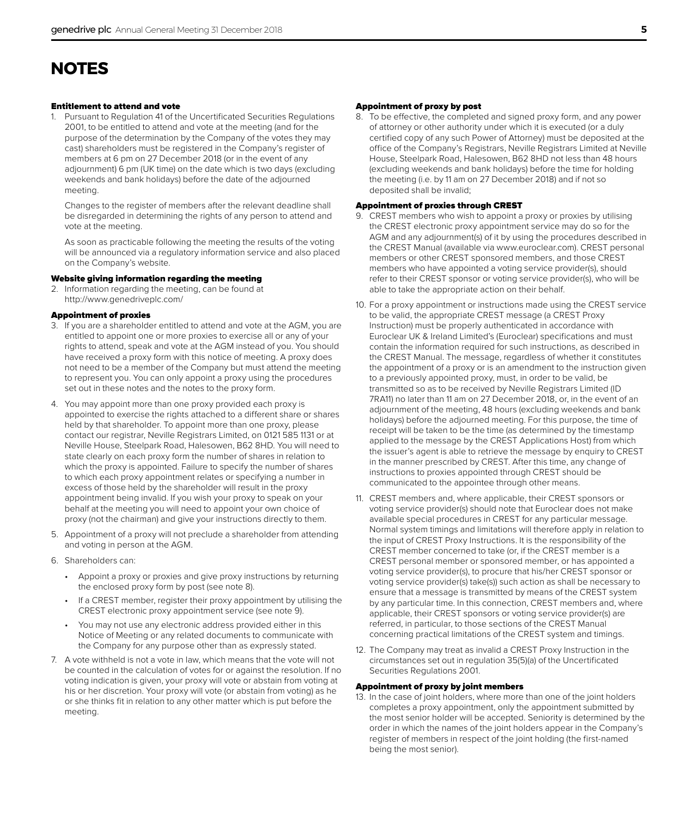# **NOTES**

# Entitlement to attend and vote

1. Pursuant to Regulation 41 of the Uncertificated Securities Regulations 2001, to be entitled to attend and vote at the meeting (and for the purpose of the determination by the Company of the votes they may cast) shareholders must be registered in the Company's register of members at 6 pm on 27 December 2018 (or in the event of any adjournment) 6 pm (UK time) on the date which is two days (excluding weekends and bank holidays) before the date of the adjourned meeting.

Changes to the register of members after the relevant deadline shall be disregarded in determining the rights of any person to attend and vote at the meeting.

As soon as practicable following the meeting the results of the voting will be announced via a regulatory information service and also placed on the Company's website.

# Website giving information regarding the meeting

2. Information regarding the meeting, can be found at http://www.genedriveplc.com/

# Appointment of proxies

- 3. If you are a shareholder entitled to attend and vote at the AGM, you are entitled to appoint one or more proxies to exercise all or any of your rights to attend, speak and vote at the AGM instead of you. You should have received a proxy form with this notice of meeting. A proxy does not need to be a member of the Company but must attend the meeting to represent you. You can only appoint a proxy using the procedures set out in these notes and the notes to the proxy form.
- 4. You may appoint more than one proxy provided each proxy is appointed to exercise the rights attached to a different share or shares held by that shareholder. To appoint more than one proxy, please contact our registrar, Neville Registrars Limited, on 0121 585 1131 or at Neville House, Steelpark Road, Halesowen, B62 8HD. You will need to state clearly on each proxy form the number of shares in relation to which the proxy is appointed. Failure to specify the number of shares to which each proxy appointment relates or specifying a number in excess of those held by the shareholder will result in the proxy appointment being invalid. If you wish your proxy to speak on your behalf at the meeting you will need to appoint your own choice of proxy (not the chairman) and give your instructions directly to them.
- 5. Appointment of a proxy will not preclude a shareholder from attending and voting in person at the AGM.
- 6. Shareholders can:
	- Appoint a proxy or proxies and give proxy instructions by returning the enclosed proxy form by post (see note 8).
	- If a CREST member, register their proxy appointment by utilising the CREST electronic proxy appointment service (see note 9).
	- You may not use any electronic address provided either in this Notice of Meeting or any related documents to communicate with the Company for any purpose other than as expressly stated.
- 7. A vote withheld is not a vote in law, which means that the vote will not be counted in the calculation of votes for or against the resolution. If no voting indication is given, your proxy will vote or abstain from voting at his or her discretion. Your proxy will vote (or abstain from voting) as he or she thinks fit in relation to any other matter which is put before the meeting.

# Appointment of proxy by post

8. To be effective, the completed and signed proxy form, and any power of attorney or other authority under which it is executed (or a duly certified copy of any such Power of Attorney) must be deposited at the office of the Company's Registrars, Neville Registrars Limited at Neville House, Steelpark Road, Halesowen, B62 8HD not less than 48 hours (excluding weekends and bank holidays) before the time for holding the meeting (i.e. by 11 am on 27 December 2018) and if not so deposited shall be invalid;

# Appointment of proxies through CREST

- 9. CREST members who wish to appoint a proxy or proxies by utilising the CREST electronic proxy appointment service may do so for the AGM and any adjournment(s) of it by using the procedures described in the CREST Manual (available via www.euroclear.com). CREST personal members or other CREST sponsored members, and those CREST members who have appointed a voting service provider(s), should refer to their CREST sponsor or voting service provider(s), who will be able to take the appropriate action on their behalf.
- 10. For a proxy appointment or instructions made using the CREST service to be valid, the appropriate CREST message (a CREST Proxy Instruction) must be properly authenticated in accordance with Euroclear UK & Ireland Limited's (Euroclear) specifications and must contain the information required for such instructions, as described in the CREST Manual. The message, regardless of whether it constitutes the appointment of a proxy or is an amendment to the instruction given to a previously appointed proxy, must, in order to be valid, be transmitted so as to be received by Neville Registrars Limited (ID 7RA11) no later than 11 am on 27 December 2018, or, in the event of an adjournment of the meeting, 48 hours (excluding weekends and bank holidays) before the adjourned meeting. For this purpose, the time of receipt will be taken to be the time (as determined by the timestamp applied to the message by the CREST Applications Host) from which the issuer's agent is able to retrieve the message by enquiry to CREST in the manner prescribed by CREST. After this time, any change of instructions to proxies appointed through CREST should be communicated to the appointee through other means.
- 11. CREST members and, where applicable, their CREST sponsors or voting service provider(s) should note that Euroclear does not make available special procedures in CREST for any particular message. Normal system timings and limitations will therefore apply in relation to the input of CREST Proxy Instructions. It is the responsibility of the CREST member concerned to take (or, if the CREST member is a CREST personal member or sponsored member, or has appointed a voting service provider(s), to procure that his/her CREST sponsor or voting service provider(s) take(s)) such action as shall be necessary to ensure that a message is transmitted by means of the CREST system by any particular time. In this connection, CREST members and, where applicable, their CREST sponsors or voting service provider(s) are referred, in particular, to those sections of the CREST Manual concerning practical limitations of the CREST system and timings.
- 12. The Company may treat as invalid a CREST Proxy Instruction in the circumstances set out in regulation 35(5)(a) of the Uncertificated Securities Regulations 2001.

#### Appointment of proxy by joint members

13. In the case of joint holders, where more than one of the joint holders completes a proxy appointment, only the appointment submitted by the most senior holder will be accepted. Seniority is determined by the order in which the names of the joint holders appear in the Company's register of members in respect of the joint holding (the first-named being the most senior).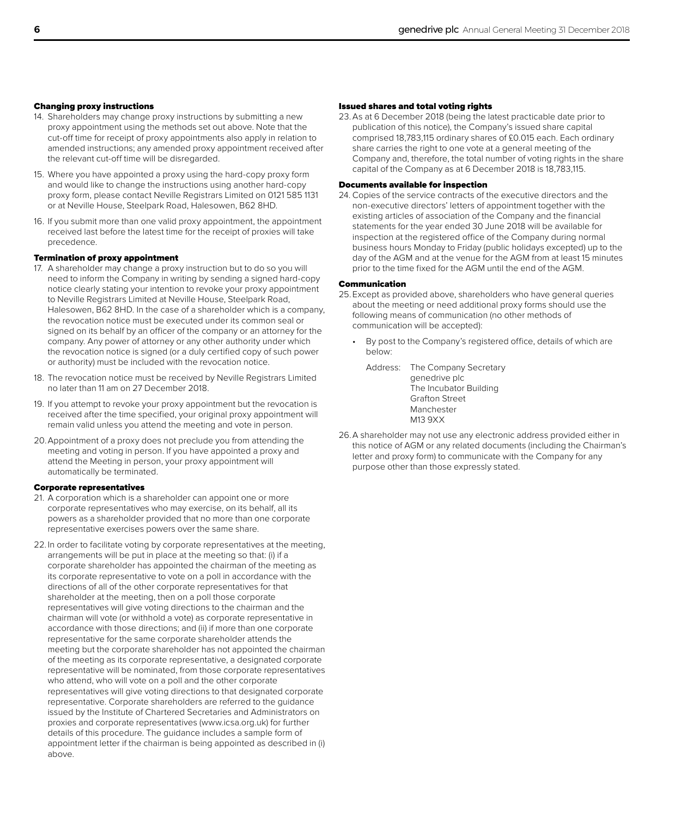# Changing proxy instructions

- 14. Shareholders may change proxy instructions by submitting a new proxy appointment using the methods set out above. Note that the cut-off time for receipt of proxy appointments also apply in relation to amended instructions; any amended proxy appointment received after the relevant cut-off time will be disregarded.
- 15. Where you have appointed a proxy using the hard-copy proxy form and would like to change the instructions using another hard-copy proxy form, please contact Neville Registrars Limited on 0121 585 1131 or at Neville House, Steelpark Road, Halesowen, B62 8HD.
- 16. If you submit more than one valid proxy appointment, the appointment received last before the latest time for the receipt of proxies will take precedence.

# Termination of proxy appointment

- 17. A shareholder may change a proxy instruction but to do so you will need to inform the Company in writing by sending a signed hard-copy notice clearly stating your intention to revoke your proxy appointment to Neville Registrars Limited at Neville House, Steelpark Road, Halesowen, B62 8HD. In the case of a shareholder which is a company, the revocation notice must be executed under its common seal or signed on its behalf by an officer of the company or an attorney for the company. Any power of attorney or any other authority under which the revocation notice is signed (or a duly certified copy of such power or authority) must be included with the revocation notice.
- 18. The revocation notice must be received by Neville Registrars Limited no later than 11 am on 27 December 2018.
- 19. If you attempt to revoke your proxy appointment but the revocation is received after the time specified, your original proxy appointment will remain valid unless you attend the meeting and vote in person.
- 20.Appointment of a proxy does not preclude you from attending the meeting and voting in person. If you have appointed a proxy and attend the Meeting in person, your proxy appointment will automatically be terminated.

#### Corporate representatives

- 21. A corporation which is a shareholder can appoint one or more corporate representatives who may exercise, on its behalf, all its powers as a shareholder provided that no more than one corporate representative exercises powers over the same share.
- 22. In order to facilitate voting by corporate representatives at the meeting, arrangements will be put in place at the meeting so that: (i) if a corporate shareholder has appointed the chairman of the meeting as its corporate representative to vote on a poll in accordance with the directions of all of the other corporate representatives for that shareholder at the meeting, then on a poll those corporate representatives will give voting directions to the chairman and the chairman will vote (or withhold a vote) as corporate representative in accordance with those directions; and (ii) if more than one corporate representative for the same corporate shareholder attends the meeting but the corporate shareholder has not appointed the chairman of the meeting as its corporate representative, a designated corporate representative will be nominated, from those corporate representatives who attend, who will vote on a poll and the other corporate representatives will give voting directions to that designated corporate representative. Corporate shareholders are referred to the guidance issued by the Institute of Chartered Secretaries and Administrators on proxies and corporate representatives (www.icsa.org.uk) for further details of this procedure. The guidance includes a sample form of appointment letter if the chairman is being appointed as described in (i) above.

# Issued shares and total voting rights

23.As at 6 December 2018 (being the latest practicable date prior to publication of this notice), the Company's issued share capital comprised 18,783,115 ordinary shares of £0.015 each. Each ordinary share carries the right to one vote at a general meeting of the Company and, therefore, the total number of voting rights in the share capital of the Company as at 6 December 2018 is 18,783,115.

# Documents available for inspection

24. Copies of the service contracts of the executive directors and the non-executive directors' letters of appointment together with the existing articles of association of the Company and the financial statements for the year ended 30 June 2018 will be available for inspection at the registered office of the Company during normal business hours Monday to Friday (public holidays excepted) up to the day of the AGM and at the venue for the AGM from at least 15 minutes prior to the time fixed for the AGM until the end of the AGM.

# Communication

- 25.Except as provided above, shareholders who have general queries about the meeting or need additional proxy forms should use the following means of communication (no other methods of communication will be accepted):
	- By post to the Company's registered office, details of which are below:
		- Address: The Company Secretary genedrive plc The Incubator Building Grafton Street Manchester M13 9XX
- 26.A shareholder may not use any electronic address provided either in this notice of AGM or any related documents (including the Chairman's letter and proxy form) to communicate with the Company for any purpose other than those expressly stated.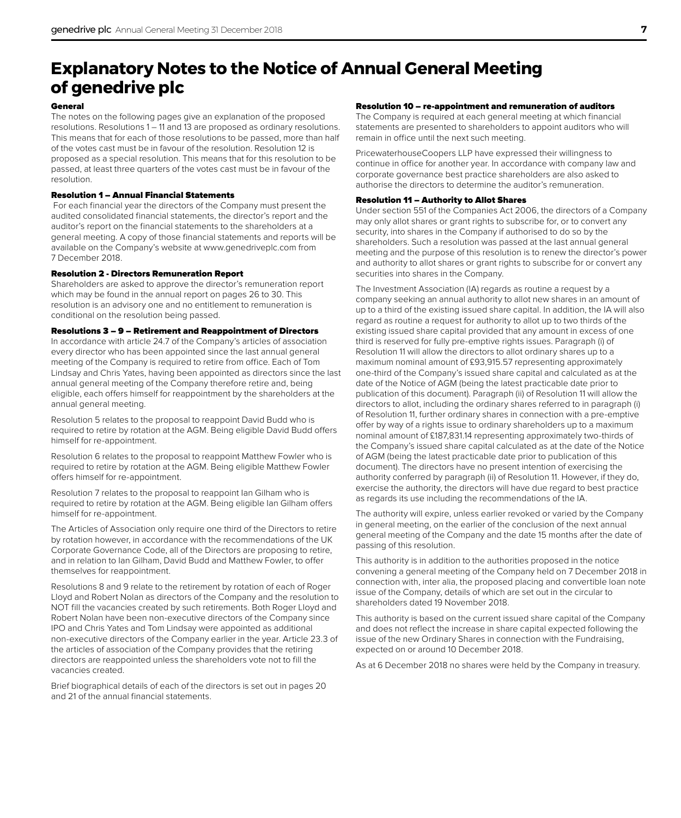# **Explanatory Notes to the Notice of Annual General Meeting of genedrive plc**

# General

The notes on the following pages give an explanation of the proposed resolutions. Resolutions 1 – 11 and 13 are proposed as ordinary resolutions. This means that for each of those resolutions to be passed, more than half of the votes cast must be in favour of the resolution. Resolution 12 is proposed as a special resolution. This means that for this resolution to be passed, at least three quarters of the votes cast must be in favour of the resolution.

# Resolution 1 – Annual Financial Statements

 For each financial year the directors of the Company must present the audited consolidated financial statements, the director's report and the auditor's report on the financial statements to the shareholders at a general meeting. A copy of those financial statements and reports will be available on the Company's website at www.genedriveplc.com from 7 December 2018.

# Resolution 2 - Directors Remuneration Report

Shareholders are asked to approve the director's remuneration report which may be found in the annual report on pages 26 to 30. This resolution is an advisory one and no entitlement to remuneration is conditional on the resolution being passed.

# Resolutions 3 – 9 – Retirement and Reappointment of Directors

In accordance with article 24.7 of the Company's articles of association every director who has been appointed since the last annual general meeting of the Company is required to retire from office. Each of Tom Lindsay and Chris Yates, having been appointed as directors since the last annual general meeting of the Company therefore retire and, being eligible, each offers himself for reappointment by the shareholders at the annual general meeting.

Resolution 5 relates to the proposal to reappoint David Budd who is required to retire by rotation at the AGM. Being eligible David Budd offers himself for re-appointment.

Resolution 6 relates to the proposal to reappoint Matthew Fowler who is required to retire by rotation at the AGM. Being eligible Matthew Fowler offers himself for re-appointment.

Resolution 7 relates to the proposal to reappoint Ian Gilham who is required to retire by rotation at the AGM. Being eligible Ian Gilham offers himself for re-appointment.

The Articles of Association only require one third of the Directors to retire by rotation however, in accordance with the recommendations of the UK Corporate Governance Code, all of the Directors are proposing to retire, and in relation to Ian Gilham, David Budd and Matthew Fowler, to offer themselves for reappointment.

Resolutions 8 and 9 relate to the retirement by rotation of each of Roger Lloyd and Robert Nolan as directors of the Company and the resolution to NOT fill the vacancies created by such retirements. Both Roger Lloyd and Robert Nolan have been non-executive directors of the Company since IPO and Chris Yates and Tom Lindsay were appointed as additional non-executive directors of the Company earlier in the year. Article 23.3 of the articles of association of the Company provides that the retiring directors are reappointed unless the shareholders vote not to fill the vacancies created.

Brief biographical details of each of the directors is set out in pages 20 and 21 of the annual financial statements.

### Resolution 10 – re-appointment and remuneration of auditors

The Company is required at each general meeting at which financial statements are presented to shareholders to appoint auditors who will remain in office until the next such meeting.

PricewaterhouseCoopers LLP have expressed their willingness to continue in office for another year. In accordance with company law and corporate governance best practice shareholders are also asked to authorise the directors to determine the auditor's remuneration.

# Resolution 11 – Authority to Allot Shares

Under section 551 of the Companies Act 2006, the directors of a Company may only allot shares or grant rights to subscribe for, or to convert any security, into shares in the Company if authorised to do so by the shareholders. Such a resolution was passed at the last annual general meeting and the purpose of this resolution is to renew the director's power and authority to allot shares or grant rights to subscribe for or convert any securities into shares in the Company.

The Investment Association (IA) regards as routine a request by a company seeking an annual authority to allot new shares in an amount of up to a third of the existing issued share capital. In addition, the IA will also regard as routine a request for authority to allot up to two thirds of the existing issued share capital provided that any amount in excess of one third is reserved for fully pre-emptive rights issues. Paragraph (i) of Resolution 11 will allow the directors to allot ordinary shares up to a maximum nominal amount of £93,915.57 representing approximately one-third of the Company's issued share capital and calculated as at the date of the Notice of AGM (being the latest practicable date prior to publication of this document). Paragraph (ii) of Resolution 11 will allow the directors to allot, including the ordinary shares referred to in paragraph (i) of Resolution 11, further ordinary shares in connection with a pre-emptive offer by way of a rights issue to ordinary shareholders up to a maximum nominal amount of £187,831.14 representing approximately two-thirds of the Company's issued share capital calculated as at the date of the Notice of AGM (being the latest practicable date prior to publication of this document). The directors have no present intention of exercising the authority conferred by paragraph (ii) of Resolution 11. However, if they do, exercise the authority, the directors will have due regard to best practice as regards its use including the recommendations of the IA.

The authority will expire, unless earlier revoked or varied by the Company in general meeting, on the earlier of the conclusion of the next annual general meeting of the Company and the date 15 months after the date of passing of this resolution.

This authority is in addition to the authorities proposed in the notice convening a general meeting of the Company held on 7 December 2018 in connection with, inter alia, the proposed placing and convertible loan note issue of the Company, details of which are set out in the circular to shareholders dated 19 November 2018.

This authority is based on the current issued share capital of the Company and does not reflect the increase in share capital expected following the issue of the new Ordinary Shares in connection with the Fundraising, expected on or around 10 December 2018.

As at 6 December 2018 no shares were held by the Company in treasury.